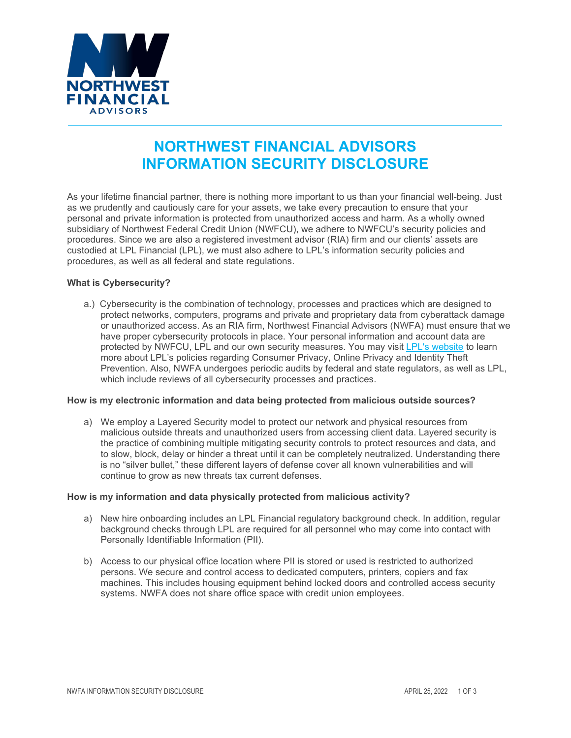

# **NORTHWEST FINANCIAL ADVISORS INFORMATION SECURITY DISCLOSURE**

As your lifetime financial partner, there is nothing more important to us than your financial well-being. Just as we prudently and cautiously care for your assets, we take every precaution to ensure that your personal and private information is protected from unauthorized access and harm. As a wholly owned subsidiary of Northwest Federal Credit Union (NWFCU), we adhere to NWFCU's security policies and procedures. Since we are also a registered investment advisor (RIA) firm and our clients' assets are custodied at LPL Financial (LPL), we must also adhere to LPL's information security policies and procedures, as well as all federal and state regulations.

## **What is Cybersecurity?**

a.) Cybersecurity is the combination of technology, processes and practices which are designed to protect networks, computers, programs and private and proprietary data from cyberattack damage or unauthorized access. As an RIA firm, Northwest Financial Advisors (NWFA) must ensure that we have proper cybersecurity protocols in place. Your personal information and account data are protected by NWFCU, LPL and our own security measures. You may visit [LPL's website](https://www.lpl.com/disclosures/privacy-security.html) to learn more about LPL's policies regarding Consumer Privacy, Online Privacy and Identity Theft Prevention. Also, NWFA undergoes periodic audits by federal and state regulators, as well as LPL, which include reviews of all cybersecurity processes and practices.

## **How is my electronic information and data being protected from malicious outside sources?**

a) We employ a Layered Security model to protect our network and physical resources from malicious outside threats and unauthorized users from accessing client data. Layered security is the practice of combining multiple mitigating security controls to protect resources and data, and to slow, block, delay or hinder a threat until it can be completely neutralized. Understanding there is no "silver bullet," these different layers of defense cover all known vulnerabilities and will continue to grow as new threats tax current defenses.

## **How is my information and data physically protected from malicious activity?**

- a) New hire onboarding includes an LPL Financial regulatory background check. In addition, regular background checks through LPL are required for all personnel who may come into contact with Personally Identifiable Information (PII).
- b) Access to our physical office location where PII is stored or used is restricted to authorized persons. We secure and control access to dedicated computers, printers, copiers and fax machines. This includes housing equipment behind locked doors and controlled access security systems. NWFA does not share office space with credit union employees.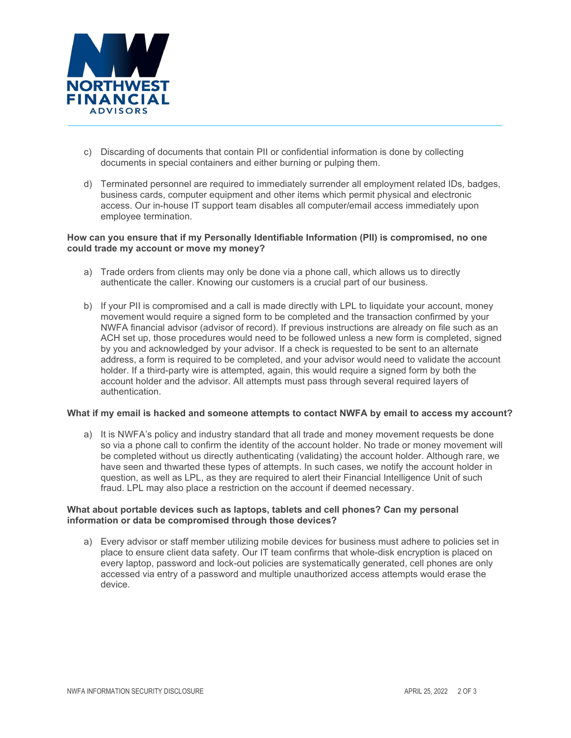

- c) Discarding of documents that contain PII or confidential information is done by collecting documents in special containers and either burning or pulping them.
- d) Terminated personnel are required to immediately surrender all employment related IDs, badges, business cards, computer equipment and other items which permit physical and electronic access. Our in-house IT support team disables all computer/email access immediately upon employee termination.

## **How can you ensure that if my Personally Identifiable Information (PII) is compromised, no one could trade my account or move my money?**

- a) Trade orders from clients may only be done via a phone call, which allows us to directly authenticate the caller. Knowing our customers is a crucial part of our business.
- b) If your PII is compromised and a call is made directly with LPL to liquidate your account, money movement would require a signed form to be completed and the transaction confirmed by your NWFA financial advisor (advisor of record). If previous instructions are already on file such as an ACH set up, those procedures would need to be followed unless a new form is completed, signed by you and acknowledged by your advisor. If a check is requested to be sent to an alternate address, a form is required to be completed, and your advisor would need to validate the account holder. If a third-party wire is attempted, again, this would require a signed form by both the account holder and the advisor. All attempts must pass through several required layers of authentication.

## **What if my email is hacked and someone attempts to contact NWFA by email to access my account?**

a) It is NWFA's policy and industry standard that all trade and money movement requests be done so via a phone call to confirm the identity of the account holder. No trade or money movement will be completed without us directly authenticating (validating) the account holder. Although rare, we have seen and thwarted these types of attempts. In such cases, we notify the account holder in question, as well as LPL, as they are required to alert their Financial Intelligence Unit of such fraud. LPL may also place a restriction on the account if deemed necessary.

## **What about portable devices such as laptops, tablets and cell phones? Can my personal information or data be compromised through those devices?**

a) Every advisor or staff member utilizing mobile devices for business must adhere to policies set in place to ensure client data safety. Our IT team confirms that whole-disk encryption is placed on every laptop, password and lock-out policies are systematically generated, cell phones are only accessed via entry of a password and multiple unauthorized access attempts would erase the device.